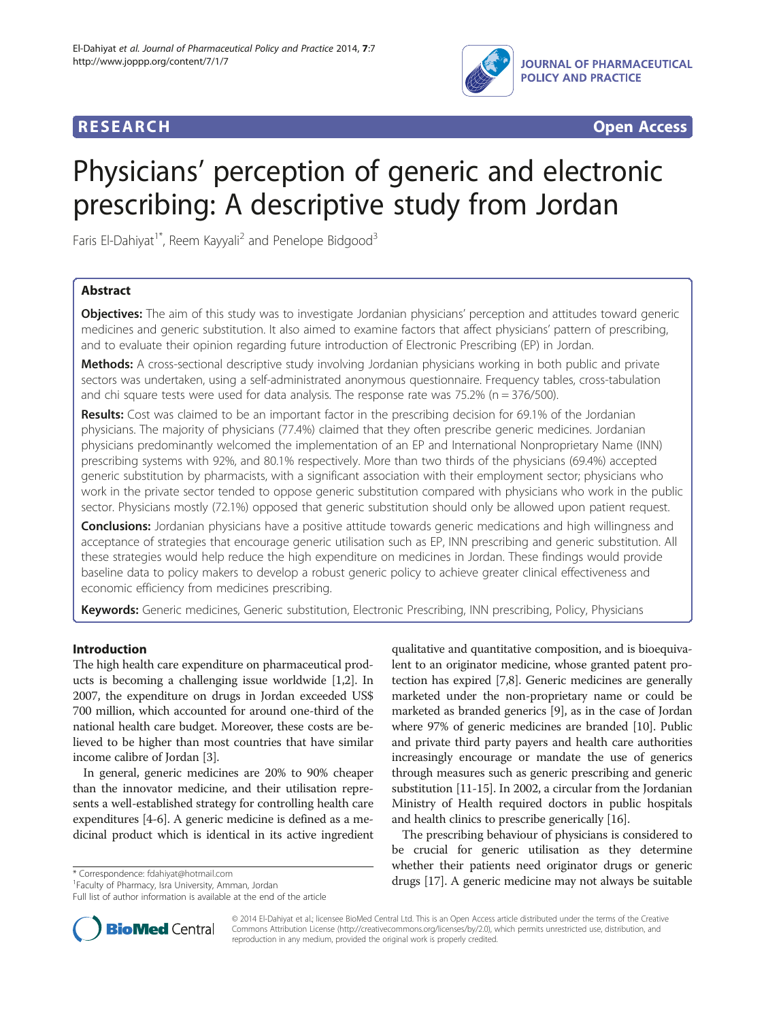

# **RESEARCH RESEARCH** *CHECK CHECK CHECK CHECK CHECK CHECK CHECK CHECK CHECK CHECK CHECK CHECK CHECK CHECK CHECK CHECK CHECK CHECK CHECK CHECK CHECK CHECK CHECK CHECK CHECK CHECK CHECK CHECK CHECK CHECK CHECK CHECK CHECK*

# Physicians' perception of generic and electronic prescribing: A descriptive study from Jordan

Faris El-Dahiyat<sup>1\*</sup>, Reem Kayyali<sup>2</sup> and Penelope Bidgood<sup>3</sup>

# Abstract

Objectives: The aim of this study was to investigate Jordanian physicians' perception and attitudes toward generic medicines and generic substitution. It also aimed to examine factors that affect physicians' pattern of prescribing, and to evaluate their opinion regarding future introduction of Electronic Prescribing (EP) in Jordan.

Methods: A cross-sectional descriptive study involving Jordanian physicians working in both public and private sectors was undertaken, using a self-administrated anonymous questionnaire. Frequency tables, cross-tabulation and chi square tests were used for data analysis. The response rate was  $75.2\%$  (n = 376/500).

Results: Cost was claimed to be an important factor in the prescribing decision for 69.1% of the Jordanian physicians. The majority of physicians (77.4%) claimed that they often prescribe generic medicines. Jordanian physicians predominantly welcomed the implementation of an EP and International Nonproprietary Name (INN) prescribing systems with 92%, and 80.1% respectively. More than two thirds of the physicians (69.4%) accepted generic substitution by pharmacists, with a significant association with their employment sector; physicians who work in the private sector tended to oppose generic substitution compared with physicians who work in the public sector. Physicians mostly (72.1%) opposed that generic substitution should only be allowed upon patient request.

**Conclusions:** Jordanian physicians have a positive attitude towards generic medications and high willingness and acceptance of strategies that encourage generic utilisation such as EP, INN prescribing and generic substitution. All these strategies would help reduce the high expenditure on medicines in Jordan. These findings would provide baseline data to policy makers to develop a robust generic policy to achieve greater clinical effectiveness and economic efficiency from medicines prescribing.

Keywords: Generic medicines, Generic substitution, Electronic Prescribing, INN prescribing, Policy, Physicians

# Introduction

The high health care expenditure on pharmaceutical products is becoming a challenging issue worldwide [\[1,2\]](#page-6-0). In 2007, the expenditure on drugs in Jordan exceeded US\$ 700 million, which accounted for around one-third of the national health care budget. Moreover, these costs are believed to be higher than most countries that have similar income calibre of Jordan [[3](#page-6-0)].

In general, generic medicines are 20% to 90% cheaper than the innovator medicine, and their utilisation represents a well-established strategy for controlling health care expenditures [[4-6](#page-6-0)]. A generic medicine is defined as a medicinal product which is identical in its active ingredient

Full list of author information is available at the end of the article

qualitative and quantitative composition, and is bioequivalent to an originator medicine, whose granted patent protection has expired [[7,8](#page-6-0)]. Generic medicines are generally marketed under the non-proprietary name or could be marketed as branded generics [\[9\]](#page-6-0), as in the case of Jordan where 97% of generic medicines are branded [\[10\]](#page-6-0). Public and private third party payers and health care authorities increasingly encourage or mandate the use of generics through measures such as generic prescribing and generic substitution [[11](#page-6-0)-[15\]](#page-6-0). In 2002, a circular from the Jordanian Ministry of Health required doctors in public hospitals and health clinics to prescribe generically [\[16\]](#page-6-0).

The prescribing behaviour of physicians is considered to be crucial for generic utilisation as they determine whether their patients need originator drugs or generic drugs [[17\]](#page-6-0). A generic medicine may not always be suitable \* Correspondence: [fdahiyat@hotmail.com](mailto:fdahiyat@hotmail.com) <sup>1</sup>



© 2014 El-Dahiyat et al.; licensee BioMed Central Ltd. This is an Open Access article distributed under the terms of the Creative Commons Attribution License [\(http://creativecommons.org/licenses/by/2.0\)](http://creativecommons.org/licenses/by/2.0), which permits unrestricted use, distribution, and reproduction in any medium, provided the original work is properly credited.

<sup>&</sup>lt;sup>1</sup> Faculty of Pharmacy, Isra University, Amman, Jordan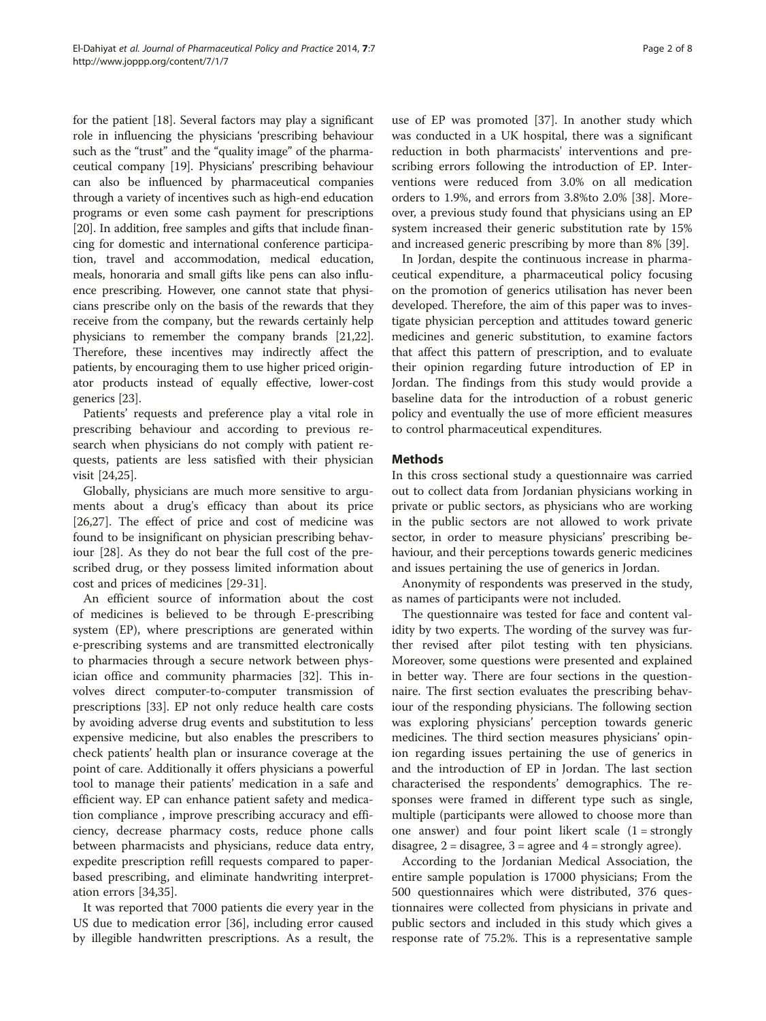for the patient [[18](#page-6-0)]. Several factors may play a significant role in influencing the physicians 'prescribing behaviour such as the "trust" and the "quality image" of the pharmaceutical company [\[19](#page-6-0)]. Physicians' prescribing behaviour can also be influenced by pharmaceutical companies through a variety of incentives such as high-end education programs or even some cash payment for prescriptions [[20](#page-6-0)]. In addition, free samples and gifts that include financing for domestic and international conference participation, travel and accommodation, medical education, meals, honoraria and small gifts like pens can also influence prescribing. However, one cannot state that physicians prescribe only on the basis of the rewards that they receive from the company, but the rewards certainly help physicians to remember the company brands [\[21,22](#page-6-0)]. Therefore, these incentives may indirectly affect the patients, by encouraging them to use higher priced originator products instead of equally effective, lower-cost generics [\[23\]](#page-6-0).

Patients' requests and preference play a vital role in prescribing behaviour and according to previous research when physicians do not comply with patient requests, patients are less satisfied with their physician visit [\[24,25](#page-6-0)].

Globally, physicians are much more sensitive to arguments about a drug's efficacy than about its price [[26,27\]](#page-6-0). The effect of price and cost of medicine was found to be insignificant on physician prescribing behaviour [[28](#page-6-0)]. As they do not bear the full cost of the prescribed drug, or they possess limited information about cost and prices of medicines [[29-31](#page-6-0)].

An efficient source of information about the cost of medicines is believed to be through E-prescribing system (EP), where prescriptions are generated within e-prescribing systems and are transmitted electronically to pharmacies through a secure network between physician office and community pharmacies [\[32](#page-6-0)]. This involves direct computer-to-computer transmission of prescriptions [[33](#page-6-0)]. EP not only reduce health care costs by avoiding adverse drug events and substitution to less expensive medicine, but also enables the prescribers to check patients' health plan or insurance coverage at the point of care. Additionally it offers physicians a powerful tool to manage their patients' medication in a safe and efficient way. EP can enhance patient safety and medication compliance , improve prescribing accuracy and efficiency, decrease pharmacy costs, reduce phone calls between pharmacists and physicians, reduce data entry, expedite prescription refill requests compared to paperbased prescribing, and eliminate handwriting interpretation errors [[34,35](#page-6-0)].

It was reported that 7000 patients die every year in the US due to medication error [[36\]](#page-6-0), including error caused by illegible handwritten prescriptions. As a result, the

use of EP was promoted [[37](#page-6-0)]. In another study which was conducted in a UK hospital, there was a significant reduction in both pharmacists' interventions and prescribing errors following the introduction of EP. Interventions were reduced from 3.0% on all medication orders to 1.9%, and errors from 3.8%to 2.0% [\[38](#page-6-0)]. Moreover, a previous study found that physicians using an EP system increased their generic substitution rate by 15% and increased generic prescribing by more than 8% [[39\]](#page-6-0).

In Jordan, despite the continuous increase in pharmaceutical expenditure, a pharmaceutical policy focusing on the promotion of generics utilisation has never been developed. Therefore, the aim of this paper was to investigate physician perception and attitudes toward generic medicines and generic substitution, to examine factors that affect this pattern of prescription, and to evaluate their opinion regarding future introduction of EP in Jordan. The findings from this study would provide a baseline data for the introduction of a robust generic policy and eventually the use of more efficient measures to control pharmaceutical expenditures.

## Methods

In this cross sectional study a questionnaire was carried out to collect data from Jordanian physicians working in private or public sectors, as physicians who are working in the public sectors are not allowed to work private sector, in order to measure physicians' prescribing behaviour, and their perceptions towards generic medicines and issues pertaining the use of generics in Jordan.

Anonymity of respondents was preserved in the study, as names of participants were not included.

The questionnaire was tested for face and content validity by two experts. The wording of the survey was further revised after pilot testing with ten physicians. Moreover, some questions were presented and explained in better way. There are four sections in the questionnaire. The first section evaluates the prescribing behaviour of the responding physicians. The following section was exploring physicians' perception towards generic medicines. The third section measures physicians' opinion regarding issues pertaining the use of generics in and the introduction of EP in Jordan. The last section characterised the respondents' demographics. The responses were framed in different type such as single, multiple (participants were allowed to choose more than one answer) and four point likert scale  $(1 = strongly)$ disagree,  $2 =$  disagree,  $3 =$  agree and  $4 =$  strongly agree).

According to the Jordanian Medical Association, the entire sample population is 17000 physicians; From the 500 questionnaires which were distributed, 376 questionnaires were collected from physicians in private and public sectors and included in this study which gives a response rate of 75.2%. This is a representative sample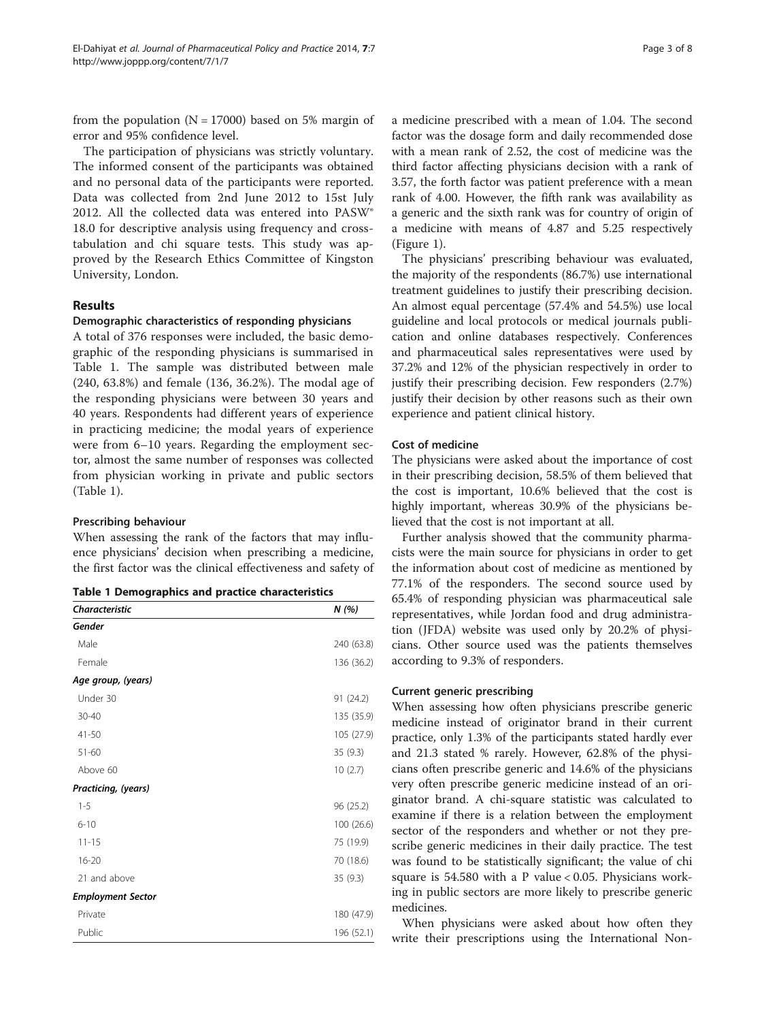from the population ( $N = 17000$ ) based on 5% margin of error and 95% confidence level.

The participation of physicians was strictly voluntary. The informed consent of the participants was obtained and no personal data of the participants were reported. Data was collected from 2nd June 2012 to 15st July 2012. All the collected data was entered into PASW® 18.0 for descriptive analysis using frequency and crosstabulation and chi square tests. This study was approved by the Research Ethics Committee of Kingston University, London.

#### Results

#### Demographic characteristics of responding physicians

A total of 376 responses were included, the basic demographic of the responding physicians is summarised in Table 1. The sample was distributed between male (240, 63.8%) and female (136, 36.2%). The modal age of the responding physicians were between 30 years and 40 years. Respondents had different years of experience in practicing medicine; the modal years of experience were from 6–10 years. Regarding the employment sector, almost the same number of responses was collected from physician working in private and public sectors (Table 1).

#### Prescribing behaviour

When assessing the rank of the factors that may influence physicians' decision when prescribing a medicine, the first factor was the clinical effectiveness and safety of

| <b>Characteristic</b>    | N(%)       |
|--------------------------|------------|
| Gender                   |            |
| Male                     | 240 (63.8) |
| Female                   | 136 (36.2) |
| Age group, (years)       |            |
| Under 30                 | 91 (24.2)  |
| $30 - 40$                | 135 (35.9) |
| $41 - 50$                | 105 (27.9) |
| $51 - 60$                | 35(9.3)    |
| Above 60                 | 10(2.7)    |
| Practicing, (years)      |            |
| $1 - 5$                  | 96 (25.2)  |
| $6 - 10$                 | 100 (26.6) |
| $11 - 15$                | 75 (19.9)  |
| $16 - 20$                | 70 (18.6)  |
| 21 and above             | 35(9.3)    |
| <b>Employment Sector</b> |            |
| Private                  | 180 (47.9) |
| Public                   | 196 (52.1) |

a medicine prescribed with a mean of 1.04. The second factor was the dosage form and daily recommended dose with a mean rank of 2.52, the cost of medicine was the third factor affecting physicians decision with a rank of 3.57, the forth factor was patient preference with a mean rank of 4.00. However, the fifth rank was availability as a generic and the sixth rank was for country of origin of a medicine with means of 4.87 and 5.25 respectively (Figure [1\)](#page-3-0).

The physicians' prescribing behaviour was evaluated, the majority of the respondents (86.7%) use international treatment guidelines to justify their prescribing decision. An almost equal percentage (57.4% and 54.5%) use local guideline and local protocols or medical journals publication and online databases respectively. Conferences and pharmaceutical sales representatives were used by 37.2% and 12% of the physician respectively in order to justify their prescribing decision. Few responders (2.7%) justify their decision by other reasons such as their own experience and patient clinical history.

#### Cost of medicine

The physicians were asked about the importance of cost in their prescribing decision, 58.5% of them believed that the cost is important, 10.6% believed that the cost is highly important, whereas 30.9% of the physicians believed that the cost is not important at all.

Further analysis showed that the community pharmacists were the main source for physicians in order to get the information about cost of medicine as mentioned by 77.1% of the responders. The second source used by 65.4% of responding physician was pharmaceutical sale representatives, while Jordan food and drug administration (JFDA) website was used only by 20.2% of physicians. Other source used was the patients themselves according to 9.3% of responders.

#### Current generic prescribing

When assessing how often physicians prescribe generic medicine instead of originator brand in their current practice, only 1.3% of the participants stated hardly ever and 21.3 stated % rarely. However, 62.8% of the physicians often prescribe generic and 14.6% of the physicians very often prescribe generic medicine instead of an originator brand. A chi-square statistic was calculated to examine if there is a relation between the employment sector of the responders and whether or not they prescribe generic medicines in their daily practice. The test was found to be statistically significant; the value of chi square is 54.580 with a P value < 0.05. Physicians working in public sectors are more likely to prescribe generic medicines.

When physicians were asked about how often they write their prescriptions using the International Non-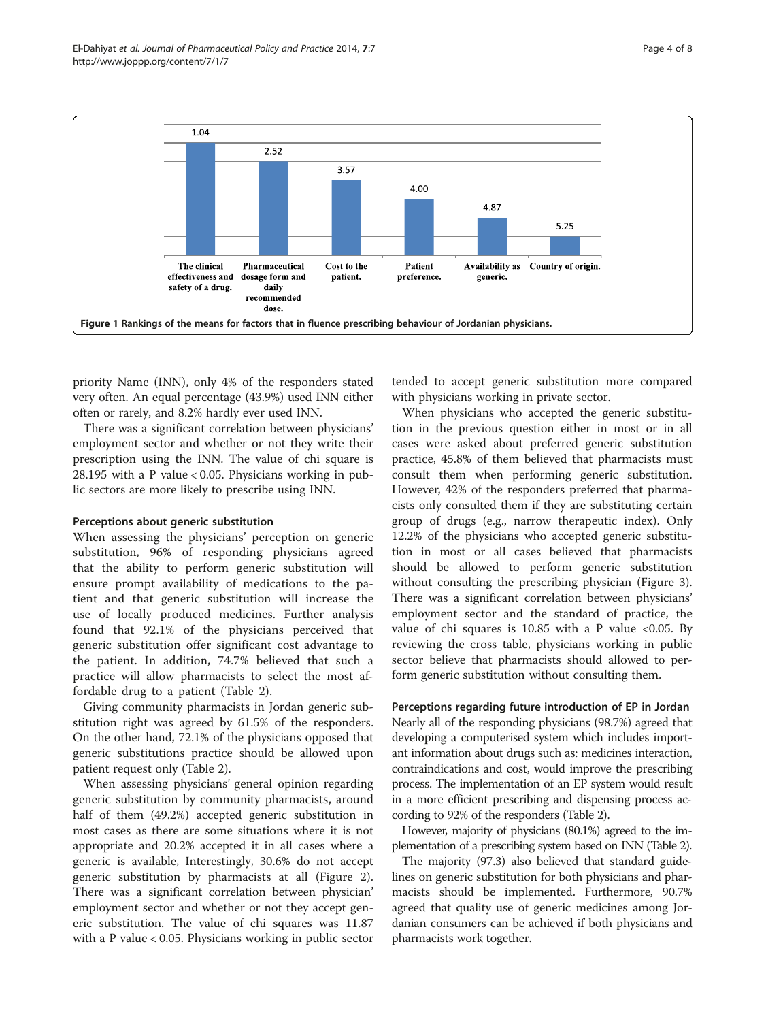<span id="page-3-0"></span>

priority Name (INN), only 4% of the responders stated very often. An equal percentage (43.9%) used INN either often or rarely, and 8.2% hardly ever used INN.

There was a significant correlation between physicians' employment sector and whether or not they write their prescription using the INN. The value of chi square is 28.195 with a P value < 0.05. Physicians working in public sectors are more likely to prescribe using INN.

#### Perceptions about generic substitution

When assessing the physicians' perception on generic substitution, 96% of responding physicians agreed that the ability to perform generic substitution will ensure prompt availability of medications to the patient and that generic substitution will increase the use of locally produced medicines. Further analysis found that 92.1% of the physicians perceived that generic substitution offer significant cost advantage to the patient. In addition, 74.7% believed that such a practice will allow pharmacists to select the most affordable drug to a patient (Table [2](#page-4-0)).

Giving community pharmacists in Jordan generic substitution right was agreed by 61.5% of the responders. On the other hand, 72.1% of the physicians opposed that generic substitutions practice should be allowed upon patient request only (Table [2\)](#page-4-0).

When assessing physicians' general opinion regarding generic substitution by community pharmacists, around half of them (49.2%) accepted generic substitution in most cases as there are some situations where it is not appropriate and 20.2% accepted it in all cases where a generic is available, Interestingly, 30.6% do not accept generic substitution by pharmacists at all (Figure [2](#page-4-0)). There was a significant correlation between physician' employment sector and whether or not they accept generic substitution. The value of chi squares was 11.87 with a P value < 0.05. Physicians working in public sector

tended to accept generic substitution more compared with physicians working in private sector.

When physicians who accepted the generic substitution in the previous question either in most or in all cases were asked about preferred generic substitution practice, 45.8% of them believed that pharmacists must consult them when performing generic substitution. However, 42% of the responders preferred that pharmacists only consulted them if they are substituting certain group of drugs (e.g., narrow therapeutic index). Only 12.2% of the physicians who accepted generic substitution in most or all cases believed that pharmacists should be allowed to perform generic substitution without consulting the prescribing physician (Figure [3](#page-4-0)). There was a significant correlation between physicians' employment sector and the standard of practice, the value of chi squares is  $10.85$  with a P value <0.05. By reviewing the cross table, physicians working in public sector believe that pharmacists should allowed to perform generic substitution without consulting them.

Perceptions regarding future introduction of EP in Jordan Nearly all of the responding physicians (98.7%) agreed that developing a computerised system which includes important information about drugs such as: medicines interaction, contraindications and cost, would improve the prescribing process. The implementation of an EP system would result in a more efficient prescribing and dispensing process according to 92% of the responders (Table [2](#page-4-0)).

However, majority of physicians (80.1%) agreed to the implementation of a prescribing system based on INN (Table [2](#page-4-0)).

The majority (97.3) also believed that standard guidelines on generic substitution for both physicians and pharmacists should be implemented. Furthermore, 90.7% agreed that quality use of generic medicines among Jordanian consumers can be achieved if both physicians and pharmacists work together.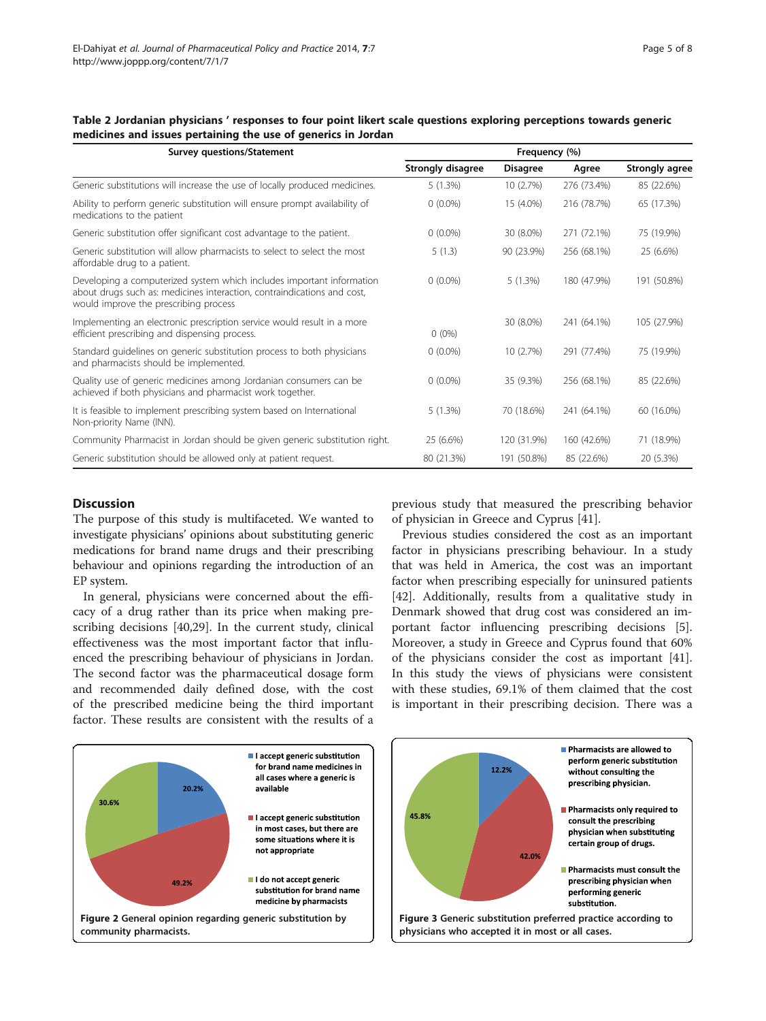| <b>Survey questions/Statement</b>                                                                                                                                                         | Frequency (%)     |                 |             |                       |
|-------------------------------------------------------------------------------------------------------------------------------------------------------------------------------------------|-------------------|-----------------|-------------|-----------------------|
|                                                                                                                                                                                           | Strongly disagree | <b>Disagree</b> | Agree       | <b>Strongly agree</b> |
| Generic substitutions will increase the use of locally produced medicines.                                                                                                                | 5(1.3%)           | 10 (2.7%)       | 276 (73.4%) | 85 (22.6%)            |
| Ability to perform generic substitution will ensure prompt availability of<br>medications to the patient                                                                                  | $0(0.0\%)$        | 15 (4.0%)       | 216 (78.7%) | 65 (17.3%)            |
| Generic substitution offer significant cost advantage to the patient.                                                                                                                     | $0(0.0\%)$        | 30 (8.0%)       | 271 (72.1%) | 75 (19.9%)            |
| Generic substitution will allow pharmacists to select to select the most<br>affordable drug to a patient.                                                                                 | 5(1.3)            | 90 (23.9%)      | 256 (68.1%) | 25 (6.6%)             |
| Developing a computerized system which includes important information<br>about drugs such as: medicines interaction, contraindications and cost,<br>would improve the prescribing process | $0(0.0\%)$        | 5(1.3%)         | 180 (47.9%) | 191 (50.8%)           |
| Implementing an electronic prescription service would result in a more<br>efficient prescribing and dispensing process.                                                                   | $0(0\%)$          | 30 (8.0%)       | 241 (64.1%) | 105 (27.9%)           |
| Standard quidelines on generic substitution process to both physicians<br>and pharmacists should be implemented.                                                                          | $0(0.0\%)$        | 10 (2.7%)       | 291 (77.4%) | 75 (19.9%)            |
| Quality use of generic medicines among Jordanian consumers can be<br>achieved if both physicians and pharmacist work together.                                                            | $0(0.0\%)$        | 35 (9.3%)       | 256 (68.1%) | 85 (22.6%)            |
| It is feasible to implement prescribing system based on International<br>Non-priority Name (INN).                                                                                         | 5(1.3%)           | 70 (18.6%)      | 241 (64.1%) | 60 (16.0%)            |
| Community Pharmacist in Jordan should be given generic substitution right.                                                                                                                | 25 (6.6%)         | 120 (31.9%)     | 160 (42.6%) | 71 (18.9%)            |
| Generic substitution should be allowed only at patient request.                                                                                                                           | 80 (21.3%)        | 191 (50.8%)     | 85 (22.6%)  | 20 (5.3%)             |

<span id="page-4-0"></span>Table 2 Jordanian physicians ' responses to four point likert scale questions exploring perceptions towards generic medicines and issues pertaining the use of generics in Jordan

#### **Discussion**

The purpose of this study is multifaceted. We wanted to investigate physicians' opinions about substituting generic medications for brand name drugs and their prescribing behaviour and opinions regarding the introduction of an EP system.

In general, physicians were concerned about the efficacy of a drug rather than its price when making prescribing decisions [[40,29\]](#page-6-0). In the current study, clinical effectiveness was the most important factor that influenced the prescribing behaviour of physicians in Jordan. The second factor was the pharmaceutical dosage form and recommended daily defined dose, with the cost of the prescribed medicine being the third important factor. These results are consistent with the results of a

previous study that measured the prescribing behavior of physician in Greece and Cyprus [\[41](#page-6-0)].

Previous studies considered the cost as an important factor in physicians prescribing behaviour. In a study that was held in America, the cost was an important factor when prescribing especially for uninsured patients [[42\]](#page-7-0). Additionally, results from a qualitative study in Denmark showed that drug cost was considered an important factor influencing prescribing decisions [\[5](#page-6-0)]. Moreover, a study in Greece and Cyprus found that 60% of the physicians consider the cost as important [\[41](#page-6-0)]. In this study the views of physicians were consistent with these studies, 69.1% of them claimed that the cost is important in their prescribing decision. There was a

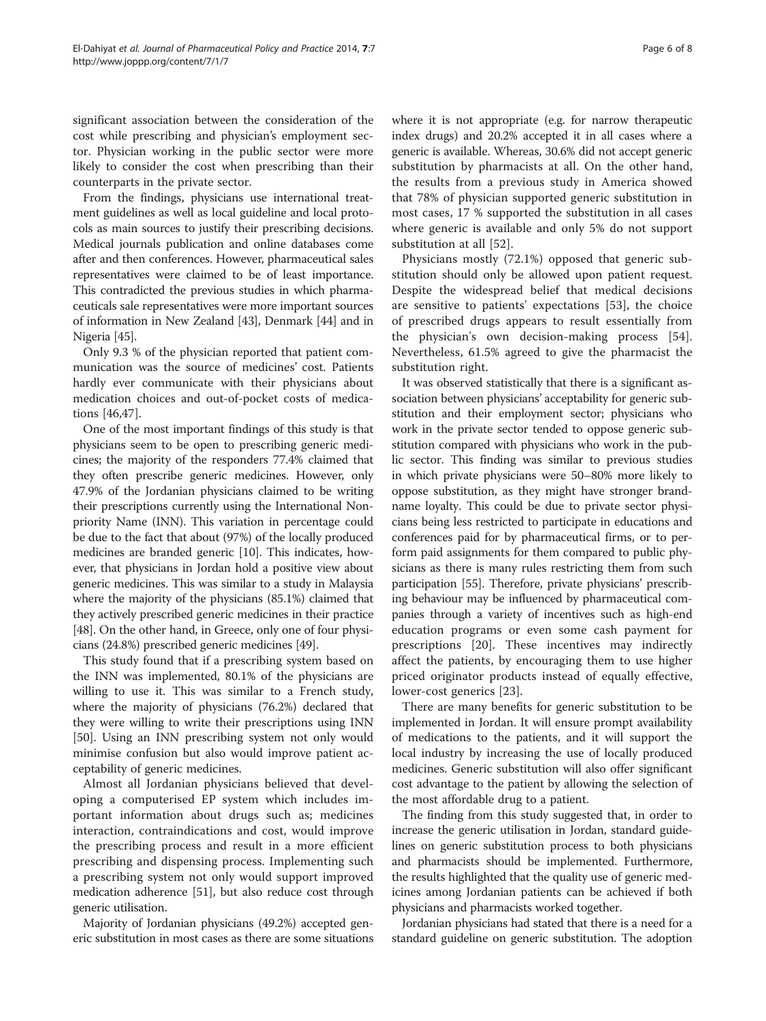significant association between the consideration of the cost while prescribing and physician's employment sector. Physician working in the public sector were more likely to consider the cost when prescribing than their counterparts in the private sector.

From the findings, physicians use international treatment guidelines as well as local guideline and local protocols as main sources to justify their prescribing decisions. Medical journals publication and online databases come after and then conferences. However, pharmaceutical sales representatives were claimed to be of least importance. This contradicted the previous studies in which pharmaceuticals sale representatives were more important sources of information in New Zealand [\[43\]](#page-7-0), Denmark [\[44\]](#page-7-0) and in Nigeria [[45](#page-7-0)].

Only 9.3 % of the physician reported that patient communication was the source of medicines' cost. Patients hardly ever communicate with their physicians about medication choices and out-of-pocket costs of medications [[46,47\]](#page-7-0).

One of the most important findings of this study is that physicians seem to be open to prescribing generic medicines; the majority of the responders 77.4% claimed that they often prescribe generic medicines. However, only 47.9% of the Jordanian physicians claimed to be writing their prescriptions currently using the International Nonpriority Name (INN). This variation in percentage could be due to the fact that about (97%) of the locally produced medicines are branded generic [[10](#page-6-0)]. This indicates, however, that physicians in Jordan hold a positive view about generic medicines. This was similar to a study in Malaysia where the majority of the physicians (85.1%) claimed that they actively prescribed generic medicines in their practice [[48](#page-7-0)]. On the other hand, in Greece, only one of four physicians (24.8%) prescribed generic medicines [\[49\]](#page-7-0).

This study found that if a prescribing system based on the INN was implemented, 80.1% of the physicians are willing to use it. This was similar to a French study, where the majority of physicians (76.2%) declared that they were willing to write their prescriptions using INN [[50\]](#page-7-0). Using an INN prescribing system not only would minimise confusion but also would improve patient acceptability of generic medicines.

Almost all Jordanian physicians believed that developing a computerised EP system which includes important information about drugs such as; medicines interaction, contraindications and cost, would improve the prescribing process and result in a more efficient prescribing and dispensing process. Implementing such a prescribing system not only would support improved medication adherence [[51](#page-7-0)], but also reduce cost through generic utilisation.

Majority of Jordanian physicians (49.2%) accepted generic substitution in most cases as there are some situations where it is not appropriate (e.g. for narrow therapeutic index drugs) and 20.2% accepted it in all cases where a generic is available. Whereas, 30.6% did not accept generic substitution by pharmacists at all. On the other hand, the results from a previous study in America showed that 78% of physician supported generic substitution in most cases, 17 % supported the substitution in all cases where generic is available and only 5% do not support substitution at all [[52\]](#page-7-0).

Physicians mostly (72.1%) opposed that generic substitution should only be allowed upon patient request. Despite the widespread belief that medical decisions are sensitive to patients' expectations [\[53](#page-7-0)], the choice of prescribed drugs appears to result essentially from the physician's own decision-making process [\[54](#page-7-0)]. Nevertheless, 61.5% agreed to give the pharmacist the substitution right.

It was observed statistically that there is a significant association between physicians' acceptability for generic substitution and their employment sector; physicians who work in the private sector tended to oppose generic substitution compared with physicians who work in the public sector. This finding was similar to previous studies in which private physicians were 50–80% more likely to oppose substitution, as they might have stronger brandname loyalty. This could be due to private sector physicians being less restricted to participate in educations and conferences paid for by pharmaceutical firms, or to perform paid assignments for them compared to public physicians as there is many rules restricting them from such participation [\[55\]](#page-7-0). Therefore, private physicians' prescribing behaviour may be influenced by pharmaceutical companies through a variety of incentives such as high-end education programs or even some cash payment for prescriptions [[20\]](#page-6-0). These incentives may indirectly affect the patients, by encouraging them to use higher priced originator products instead of equally effective, lower-cost generics [\[23](#page-6-0)].

There are many benefits for generic substitution to be implemented in Jordan. It will ensure prompt availability of medications to the patients, and it will support the local industry by increasing the use of locally produced medicines. Generic substitution will also offer significant cost advantage to the patient by allowing the selection of the most affordable drug to a patient.

The finding from this study suggested that, in order to increase the generic utilisation in Jordan, standard guidelines on generic substitution process to both physicians and pharmacists should be implemented. Furthermore, the results highlighted that the quality use of generic medicines among Jordanian patients can be achieved if both physicians and pharmacists worked together.

Jordanian physicians had stated that there is a need for a standard guideline on generic substitution. The adoption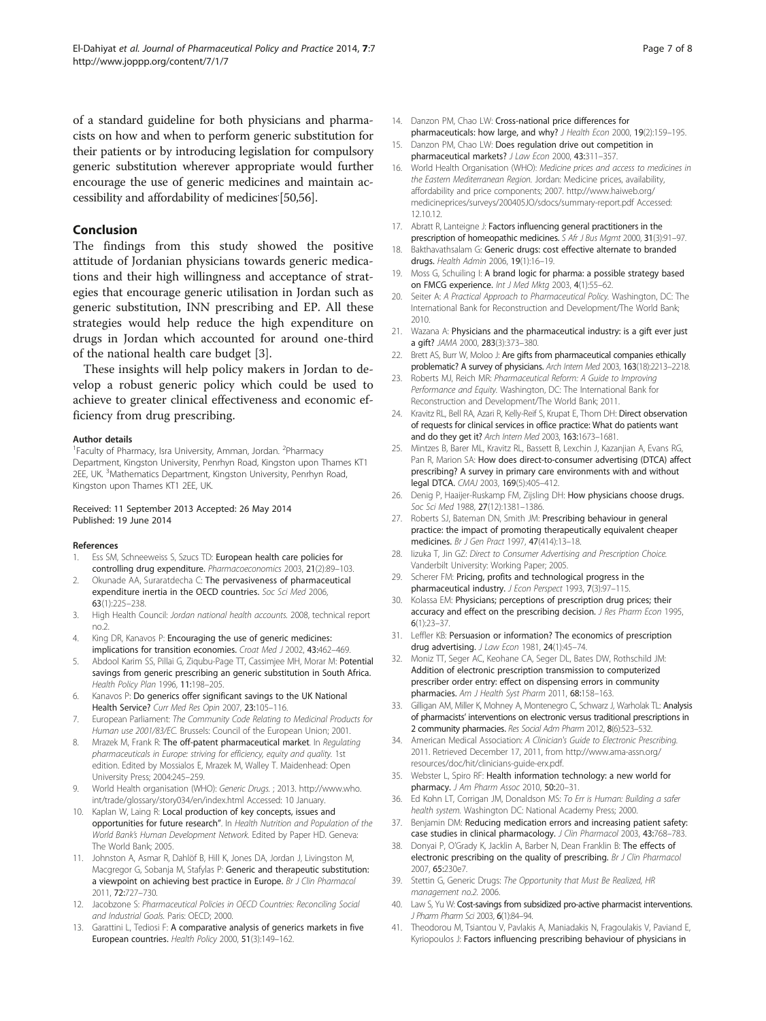<span id="page-6-0"></span>of a standard guideline for both physicians and pharmacists on how and when to perform generic substitution for their patients or by introducing legislation for compulsory generic substitution wherever appropriate would further encourage the use of generic medicines and maintain ac-cessibility and affordability of medicines [[50,56\]](#page-7-0).

### Conclusion

The findings from this study showed the positive attitude of Jordanian physicians towards generic medications and their high willingness and acceptance of strategies that encourage generic utilisation in Jordan such as generic substitution, INN prescribing and EP. All these strategies would help reduce the high expenditure on drugs in Jordan which accounted for around one-third of the national health care budget [3].

These insights will help policy makers in Jordan to develop a robust generic policy which could be used to achieve to greater clinical effectiveness and economic efficiency from drug prescribing.

#### Author details

<sup>1</sup> Faculty of Pharmacy, Isra University, Amman, Jordan. <sup>2</sup> Pharmacy Department, Kingston University, Penrhyn Road, Kingston upon Thames KT1 2EE, UK. <sup>3</sup>Mathematics Department, Kingston University, Penrhyn Road, Kingston upon Thames KT1 2EE, UK.

#### Received: 11 September 2013 Accepted: 26 May 2014 Published: 19 June 2014

#### References

- Ess SM, Schneeweiss S, Szucs TD: European health care policies for controlling drug expenditure. Pharmacoeconomics 2003, 21(2):89–103.
- 2. Okunade AA, Suraratdecha C: The pervasiveness of pharmaceutical expenditure inertia in the OECD countries. Soc Sci Med 2006, 63(1):225–238.
- 3. High Health Council: Jordan national health accounts. 2008, technical report no.2.
- 4. King DR, Kanavos P: Encouraging the use of generic medicines: implications for transition economies. Croat Med J 2002, 43:462–469.
- 5. Abdool Karim SS, Pillai G, Zigubu-Page TT, Cassimjee MH, Morar M: Potential savings from generic prescribing an generic substitution in South Africa. Health Policy Plan 1996, 11:198–205.
- 6. Kanavos P: Do generics offer significant savings to the UK National Health Service? Curr Med Res Opin 2007, 23:105–116.
- 7. European Parliament: The Community Code Relating to Medicinal Products for Human use 2001/83/EC. Brussels: Council of the European Union; 2001.
- 8. Mrazek M, Frank R: The off-patent pharmaceutical market. In Regulating pharmaceuticals in Europe: striving for efficiency, equity and quality. 1st edition. Edited by Mossialos E, Mrazek M, Walley T. Maidenhead: Open University Press; 2004:245–259.
- 9. World Health organisation (WHO): Generic Drugs. ; 2013. [http://www.who.](http://www.who.int/trade/glossary/story034/en/index.html) [int/trade/glossary/story034/en/index.html](http://www.who.int/trade/glossary/story034/en/index.html) Accessed: 10 January.
- 10. Kaplan W, Laing R: Local production of key concepts, issues and opportunities for future research". In Health Nutrition and Population of the World Bank's Human Development Network. Edited by Paper HD. Geneva: The World Bank; 2005.
- 11. Johnston A, Asmar R, Dahlöf B, Hill K, Jones DA, Jordan J, Livingston M, Macgregor G, Sobanja M, Stafylas P: Generic and therapeutic substitution: a viewpoint on achieving best practice in Europe. Br J Clin Pharmacol 2011, 72:727–730.
- 12. Jacobzone S: Pharmaceutical Policies in OECD Countries: Reconciling Social and Industrial Goals. Paris: OECD; 2000.
- 13. Garattini L, Tediosi F: A comparative analysis of generics markets in five European countries. Health Policy 2000, 51(3):149–162.
- 14. Danzon PM, Chao LW: Cross-national price differences for pharmaceuticals: how large, and why? J Health Econ 2000, 19(2):159-195.
- 15. Danzon PM, Chao LW: Does regulation drive out competition in pharmaceutical markets? J Law Econ 2000, 43:311–357.
- 16. World Health Organisation (WHO): Medicine prices and access to medicines in the Eastern Mediterranean Region. Jordan: Medicine prices, availability, affordability and price components; 2007. [http://www.haiweb.org/](http://www.haiweb.org/medicineprices/surveys/200405JO/sdocs/summary-report.pdf) [medicineprices/surveys/200405JO/sdocs/summary-report.pdf](http://www.haiweb.org/medicineprices/surveys/200405JO/sdocs/summary-report.pdf) Accessed: 12.10.12.
- 17. Abratt R, Lanteigne J: Factors influencing general practitioners in the prescription of homeopathic medicines. S Afr J Bus Mgmt 2000, 31(3):91–97.
- 18. Bakthavathsalam G: Generic drugs: cost effective alternate to branded drugs. Health Admin 2006, 19(1):16–19.
- 19. Moss G, Schuiling I: A brand logic for pharma: a possible strategy based on FMCG experience. Int J Med Mktg 2003, 4(1):55–62.
- 20. Seiter A: A Practical Approach to Pharmaceutical Policy. Washington, DC: The International Bank for Reconstruction and Development/The World Bank; 2010.
- 21. Wazana A: Physicians and the pharmaceutical industry: is a gift ever just a gift? JAMA 2000, 283(3):373–380.
- 22. Brett AS, Burr W, Moloo J: Are gifts from pharmaceutical companies ethically problematic? A survey of physicians. Arch Intern Med 2003, 163(18):2213–2218.
- 23. Roberts MJ, Reich MR: Pharmaceutical Reform: A Guide to Improving Performance and Equity. Washington, DC: The International Bank for Reconstruction and Development/The World Bank; 2011.
- 24. Kravitz RL, Bell RA, Azari R, Kelly-Reif S, Krupat E, Thom DH: Direct observation of requests for clinical services in office practice: What do patients want and do they get it? Arch Intern Med 2003, 163:1673–1681.
- 25. Mintzes B, Barer ML, Kravitz RL, Bassett B, Lexchin J, Kazanjian A, Evans RG, Pan R, Marion SA: How does direct-to-consumer advertising (DTCA) affect prescribing? A survey in primary care environments with and without legal DTCA. CMAJ 2003, 169(5):405–412.
- 26. Denig P, Haaijer-Ruskamp FM, Zijsling DH: How physicians choose drugs. Soc Sci Med 1988, 27(12):1381-1386.
- 27. Roberts SJ, Bateman DN, Smith JM: Prescribing behaviour in general practice: the impact of promoting therapeutically equivalent cheaper medicines. Br J Gen Pract 1997, 47(414):13–18.
- 28. Iizuka T, Jin GZ: Direct to Consumer Advertising and Prescription Choice. Vanderbilt University: Working Paper; 2005.
- 29. Scherer FM: Pricing, profits and technological progress in the pharmaceutical industry. J Econ Perspect 1993, 7(3):97–115.
- 30. Kolassa EM: Physicians; perceptions of prescription drug prices; their accuracy and effect on the prescribing decision. J Res Pharm Econ 1995, 6(1):23–37.
- 31. Leffler KB: Persuasion or information? The economics of prescription drug advertising. J Law Econ 1981, 24(1):45–74.
- 32. Moniz TT, Seger AC, Keohane CA, Seger DL, Bates DW, Rothschild JM: Addition of electronic prescription transmission to computerized prescriber order entry: effect on dispensing errors in community pharmacies. Am J Health Syst Pharm 2011, 68:158-163.
- 33. Gilligan AM, Miller K, Mohney A, Montenegro C, Schwarz J, Warholak TL: Analysis of pharmacists' interventions on electronic versus traditional prescriptions in 2 community pharmacies. Res Social Adm Pharm 2012, 8(6):523–532.
- 34. American Medical Association: A Clinician's Guide to Electronic Prescribing. 2011. Retrieved December 17, 2011, from [http://www.ama-assn.org/](http://www.ama-assn.org/resources/doc/hit/clinicians-guide-erx.pdf) [resources/doc/hit/clinicians-guide-erx.pdf](http://www.ama-assn.org/resources/doc/hit/clinicians-guide-erx.pdf).
- 35. Webster L, Spiro RF: Health information technology: a new world for pharmacy. J Am Pharm Assoc 2010, 50:20–31.
- 36. Ed Kohn LT, Corrigan JM, Donaldson MS: To Err is Human: Building a safer health system. Washington DC: National Academy Press; 2000.
- 37. Benjamin DM: Reducing medication errors and increasing patient safety: case studies in clinical pharmacology. J Clin Pharmacol 2003, 43:768–783.
- 38. Donyai P, O'Grady K, Jacklin A, Barber N, Dean Franklin B: The effects of electronic prescribing on the quality of prescribing. Br J Clin Pharmacol 2007, 65:230e7.
- 39. Stettin G, Generic Drugs: The Opportunity that Must Be Realized, HR management no.2. 2006.
- 40. Law S, Yu W: Cost-savings from subsidized pro-active pharmacist interventions. J Pharm Pharm Sci 2003, 6(1):84–94.
- 41. Theodorou M, Tsiantou V, Pavlakis A, Maniadakis N, Fragoulakis V, Paviand E, Kyriopoulos J: Factors influencing prescribing behaviour of physicians in